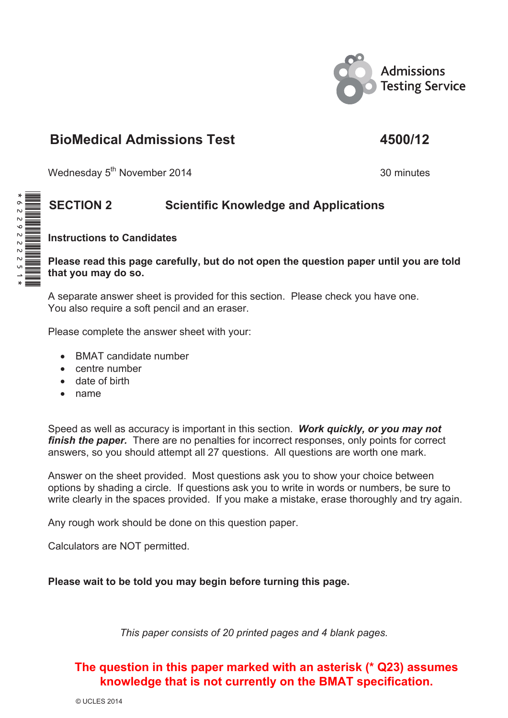

# **BioMedical Admissions Test 4500/12**

Wednesday 5<sup>th</sup> November 2014 30 minutes

## **SECTION 2 Scientific Knowledge and Applications**

 **Instructions to Candidates** 

#### **Please read this page carefully, but do not open the question paper until you are told that you may do so.**

 A separate answer sheet is provided for this section. Please check you have one. You also require a soft pencil and an eraser.

Please complete the answer sheet with your:

- BMAT candidate number
- $\bullet$  centre number
- $\bullet$  date of birth
- $\bullet$  name

 Speed as well as accuracy is important in this section. *Work quickly, or you may not finish the paper.* There are no penalties for incorrect responses, only points for correct answers, so you should attempt all 27 questions. All questions are worth one mark.

 Answer on the sheet provided. Most questions ask you to show your choice between options by shading a circle. If questions ask you to write in words or numbers, be sure to write clearly in the spaces provided. If you make a mistake, erase thoroughly and try again.

Any rough work should be done on this question paper.

Calculators are NOT permitted.

 **Please wait to be told you may begin before turning this page.** 

*This paper consists of 20 printed pages and 4 blank pages.* 

### **The question in this paper marked with an asterisk (\* Q23) assumes knowledge that is not currently on the BMAT specification.**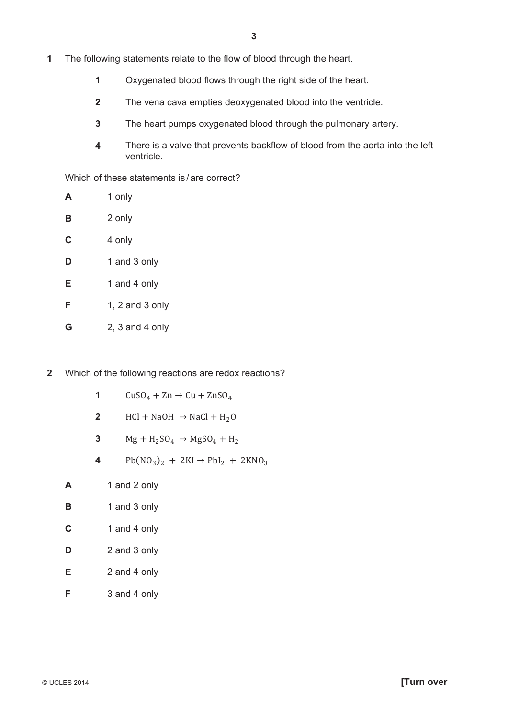- **1** The following statements relate to the flow of blood through the heart.
	- **1** Oxygenated blood flows through the right side of the heart.
	- **2** The vena cava empties deoxygenated blood into the ventricle.
	- **3** The heart pumps oxygenated blood through the pulmonary artery.
	- **4** There is a valve that prevents backflow of blood from the aorta into the left ventricle.

Which of these statements is/ are correct?

**A** 1 only **B** 2 only **C** 4 only **D** 1 and 3 only **E** 1 and 4 only **F** 1, 2 and 3 only **G** 2, 3 and 4 only

- **2** Which of the following reactions are redox reactions?
	- **1**  $\text{CuSO}_4 + \text{Zn} \rightarrow \text{Cu} + \text{ZnSO}_4$
	- **2**  $HCl + NaOH \rightarrow NaCl + H<sub>2</sub>O$
	- **3**  $Mg + H_2SO_4 \rightarrow MgSO_4 + H_2$
	- 4 Pb( $NO_3$ )<sub>2</sub> + 2KI  $\rightarrow$  PbI<sub>2</sub> + 2KNO<sub>3</sub>
	- **A** 1 and 2 only
	- **B** 1 and 3 only
	- **C** 1 and 4 only
	- **D** 2 and 3 only
	- **E** 2 and 4 only
	- **F** 3 and 4 only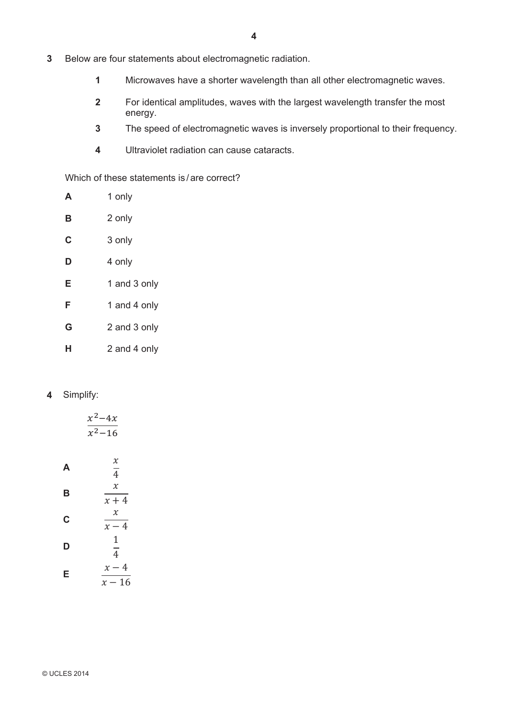- **3** Below are four statements about electromagnetic radiation.
	- **1** Microwaves have a shorter wavelength than all other electromagnetic waves.
	- **2** For identical amplitudes, waves with the largest wavelength transfer the most energy.
	- **3** The speed of electromagnetic waves is inversely proportional to their frequency.
	- **4** Ultraviolet radiation can cause cataracts.

Which of these statements is/ are correct?

| A | 1 only       |
|---|--------------|
| в | 2 only       |
| C | 3 only       |
| D | 4 only       |
| Е | 1 and 3 only |
| F | 1 and 4 only |
| G | 2 and 3 only |
| н | 2 and 4 only |

#### **4** Simplify:

|   | $x^2-4x$<br>$\overline{x^2-16}$ |
|---|---------------------------------|
| A | $\chi$<br>$\overline{4}$        |
| В | $\chi$<br>$x + 4$               |
| C | $\mathcal{X}$<br>$x-4$          |
| D | 1<br>$\frac{1}{4}$              |
| Е | $x-4$<br>$x - 16$               |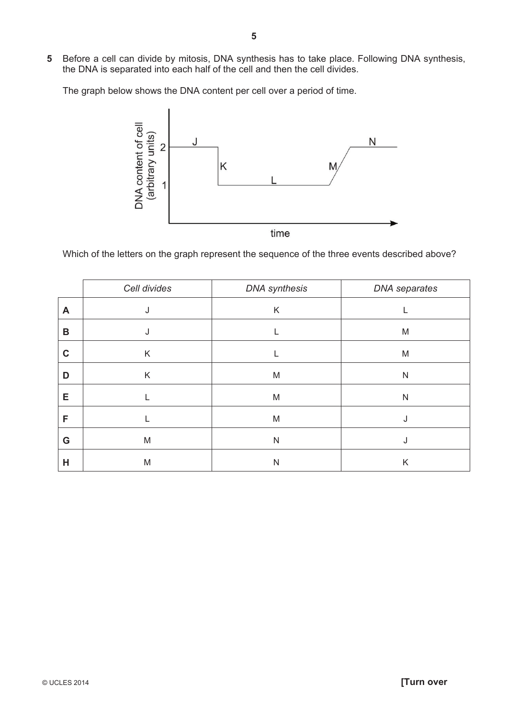**5** Before a cell can divide by mitosis, DNA synthesis has to take place. Following DNA synthesis, the DNA is separated into each half of the cell and then the cell divides.

The graph below shows the DNA content per cell over a period of time.



Which of the letters on the graph represent the sequence of the three events described above?

|             | Cell divides | <b>DNA</b> synthesis | DNA separates |
|-------------|--------------|----------------------|---------------|
| A           | J            | K                    |               |
| B           |              |                      | M             |
| $\mathbf C$ | Κ            |                      | M             |
| D           | Κ            | M                    | N             |
| Е           |              | M                    | N             |
| F           |              | M                    | ٠J            |
| G           | M            | $\mathsf{N}$         |               |
| Н           | M            | N                    | Κ             |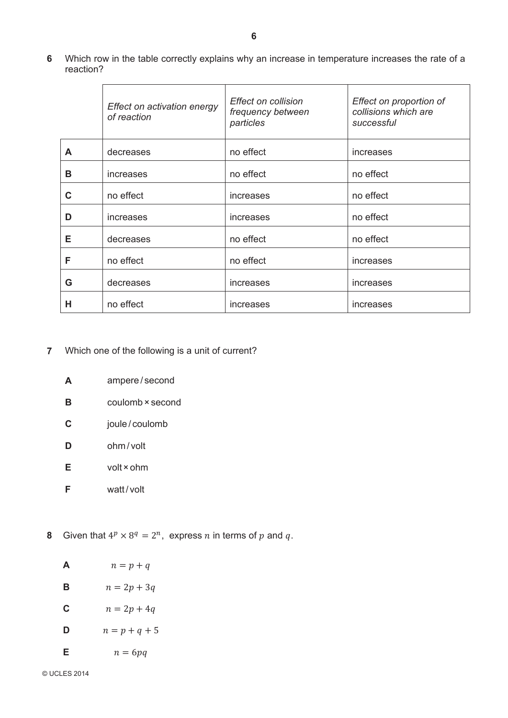**6** Which row in the table correctly explains why an increase in temperature increases the rate of a reaction?

|   | Effect on activation energy<br>of reaction | <b>Effect on collision</b><br>frequency between<br>particles | Effect on proportion of<br>collisions which are<br>successful |
|---|--------------------------------------------|--------------------------------------------------------------|---------------------------------------------------------------|
| A | decreases                                  | no effect                                                    | increases                                                     |
| в | increases                                  | no effect                                                    | no effect                                                     |
| C | no effect                                  | increases                                                    | no effect                                                     |
| D | increases                                  | increases                                                    | no effect                                                     |
| Е | decreases                                  | no effect                                                    | no effect                                                     |
| F | no effect                                  | no effect                                                    | increases                                                     |
| G | decreases                                  | increases                                                    | increases                                                     |
| н | no effect                                  | increases                                                    | increases                                                     |

- **7** Which one of the following is a unit of current?
	- **A** ampere / second
	- **B** coulomb × second
	- **C** joule /coulomb
	- **D** ohm/ volt
	- **E** volt × ohm
	- **F** watt/volt
- **8** Given that  $4^p \times 8^q = 2^n$ , express *n* in terms of *p* and *q*.

| A | $n = p + q$     |
|---|-----------------|
| в | $n = 2p + 3q$   |
| C | $n = 2p + 4q$   |
| D | $n = p + q + 5$ |
| Е | $n = 6pq$       |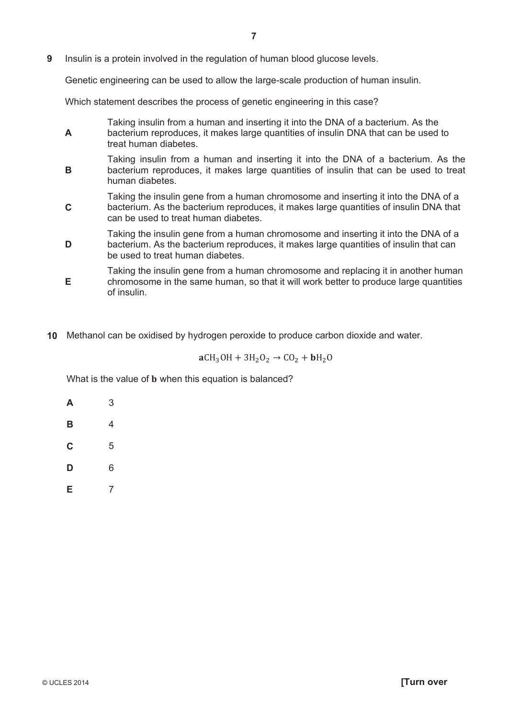**9** Insulin is a protein involved in the regulation of human blood glucose levels.

Genetic engineering can be used to allow the large-scale production of human insulin.

Which statement describes the process of genetic engineering in this case?

- **A** Taking insulin from a human and inserting it into the DNA of a bacterium. As the bacterium reproduces, it makes large quantities of insulin DNA that can be used to treat human diabetes. **B** Taking insulin from a human and inserting it into the DNA of a bacterium. As the bacterium reproduces, it makes large quantities of insulin that can be used to treat human diabetes. **C** Taking the insulin gene from a human chromosome and inserting it into the DNA of a bacterium. As the bacterium reproduces, it makes large quantities of insulin DNA that can be used to treat human diabetes. **D** Taking the insulin gene from a human chromosome and inserting it into the DNA of a bacterium. As the bacterium reproduces, it makes large quantities of insulin that can be used to treat human diabetes. **E** Taking the insulin gene from a human chromosome and replacing it in another human chromosome in the same human, so that it will work better to produce large quantities
- **10** Methanol can be oxidised by hydrogen peroxide to produce carbon dioxide and water.

 $aCH<sub>3</sub>OH + 3H<sub>2</sub>O<sub>2</sub> \rightarrow CO<sub>2</sub> + bH<sub>2</sub>O$ 

What is the value of **b** when this equation is balanced?

**A** 3 **B** 4 **C** 5 **D** 6 **E** 7

of insulin.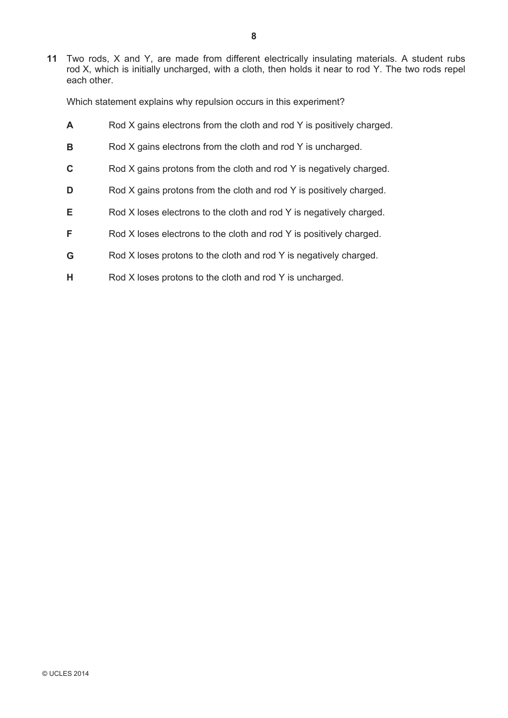**11** Two rods, X and Y, are made from different electrically insulating materials. A student rubs rod X, which is initially uncharged, with a cloth, then holds it near to rod Y. The two rods repel each other.

Which statement explains why repulsion occurs in this experiment?

- **A** Rod X gains electrons from the cloth and rod Y is positively charged. **B** Rod X gains electrons from the cloth and rod Y is uncharged. **C** Rod X gains protons from the cloth and rod Y is negatively charged. **D** Rod X gains protons from the cloth and rod Y is positively charged.
- **E** Rod X loses electrons to the cloth and rod Y is negatively charged.
- **F** Rod X loses electrons to the cloth and rod Y is positively charged.
- **G** Rod X loses protons to the cloth and rod Y is negatively charged.
- **H** Rod X loses protons to the cloth and rod Y is uncharged.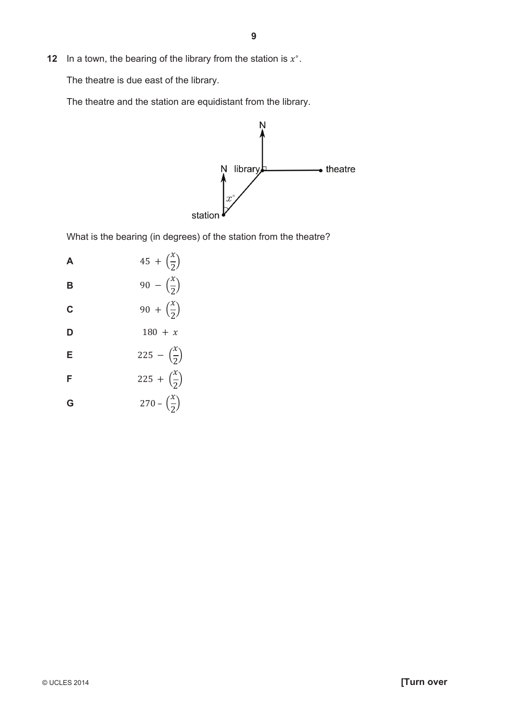**12** In a town, the bearing of the library from the station is  $x^\circ$ .

The theatre is due east of the library.

The theatre and the station are equidistant from the library.



What is the bearing (in degrees) of the station from the theatre?

| Α | $45 + (\frac{x}{2})$             |
|---|----------------------------------|
| в | 90 – $\left(\frac{x}{2}\right)$  |
| Ć | 90 + $\left(\frac{x}{2}\right)$  |
| D | $180 + x$                        |
| E | 225 – $\left(\frac{x}{2}\right)$ |
| F | 225 + $\left(\frac{x}{2}\right)$ |
| G | $270 - \left(\frac{x}{2}\right)$ |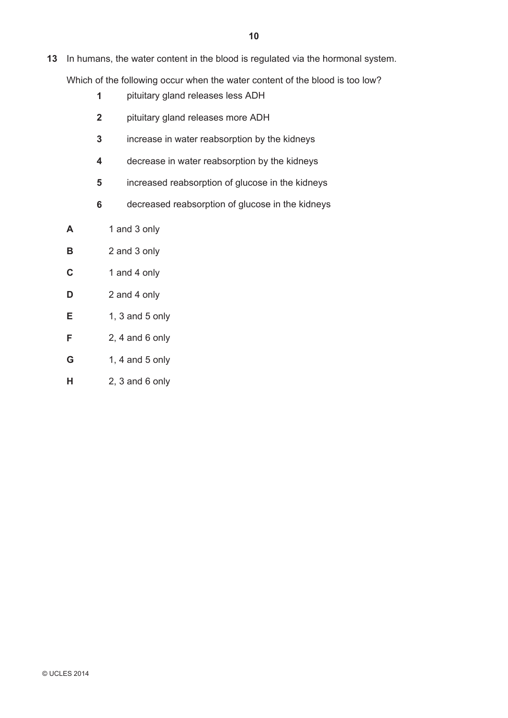- **13** In humans, the water content in the blood is regulated via the hormonal system. Which of the following occur when the water content of the blood is too low?
	- **1** pituitary gland releases less ADH
	- **2** pituitary gland releases more ADH
	- **3** increase in water reabsorption by the kidneys
	- **4** decrease in water reabsorption by the kidneys
	- **5** increased reabsorption of glucose in the kidneys
	- **6** decreased reabsorption of glucose in the kidneys
	- **A** 1 and 3 only
	- **B** 2 and 3 only
	- **C** 1 and 4 only
	- **D** 2 and 4 only
	- **E** 1, 3 and 5 only
	- **F** 2, 4 and 6 only
	- **G** 1, 4 and 5 only
	- **H** 2, 3 and 6 only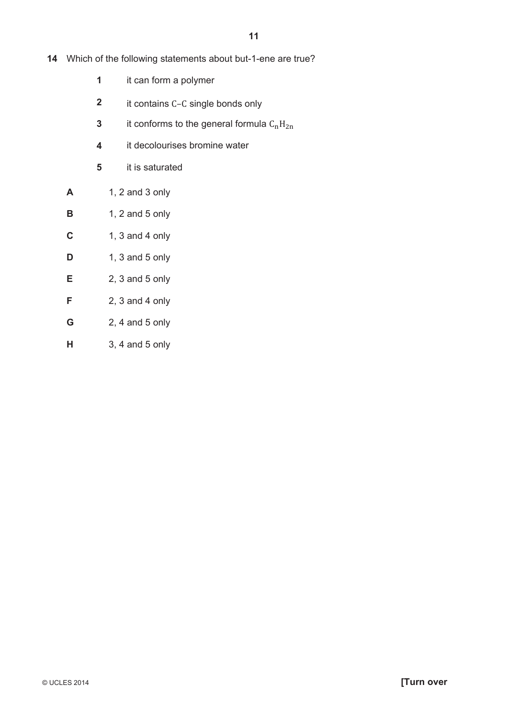- **14** Which of the following statements about but-1-ene are true?
	- **1** it can form a polymer
	- **2** it contains C-C single bonds only
	- **3** it conforms to the general formula  $C_nH_{2n}$
	- **4** it decolourises bromine water
	- **5** it is saturated
	- **A** 1, 2 and 3 only
	- **B** 1, 2 and 5 only
	- **C** 1, 3 and 4 only
	- **D** 1, 3 and 5 only
	- **E** 2, 3 and 5 only
	- **F** 2, 3 and 4 only
	- **G** 2, 4 and 5 only
	- **H** 3, 4 and 5 only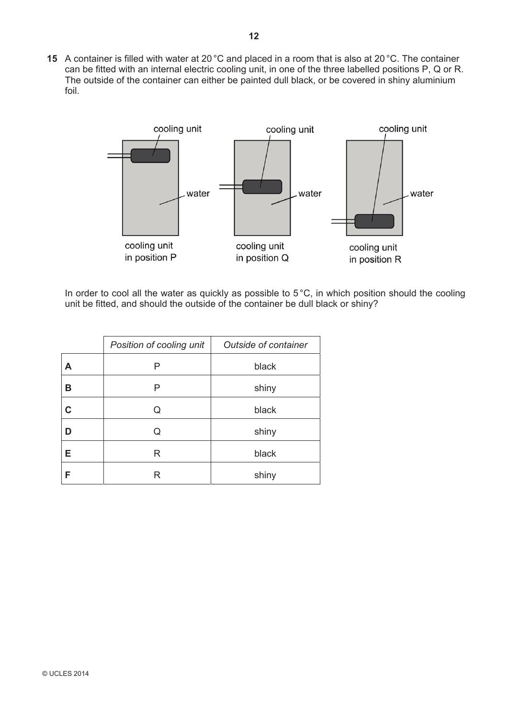**15** A container is filled with water at 20 °C and placed in a room that is also at 20 °C. The container can be fitted with an internal electric cooling unit, in one of the three labelled positions P, Q or R. The outside of the container can either be painted dull black, or be covered in shiny aluminium foil.



In order to cool all the water as quickly as possible to 5 °C, in which position should the cooling unit be fitted, and should the outside of the container be dull black or shiny?

|   | Position of cooling unit | <b>Outside of container</b> |
|---|--------------------------|-----------------------------|
| А | Ρ                        | black                       |
| в | Р                        | shiny                       |
| C | Q                        | black                       |
| D | Q                        | shiny                       |
| E | R                        | black                       |
| F | R                        | shiny                       |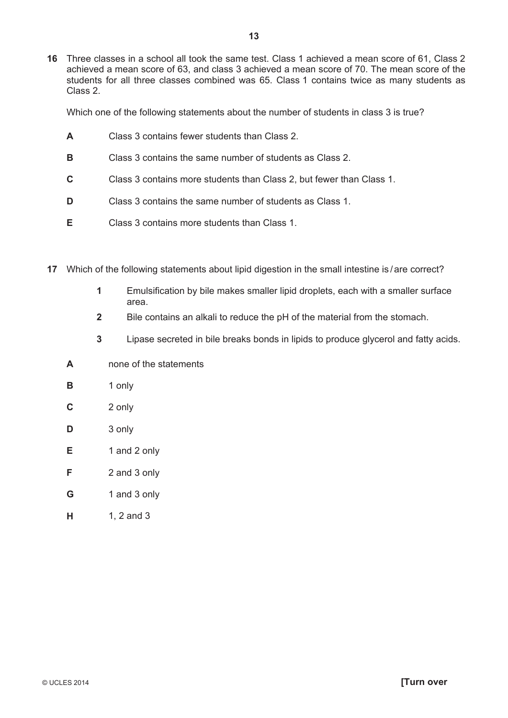**16** Three classes in a school all took the same test. Class 1 achieved a mean score of 61, Class 2 achieved a mean score of 63, and class 3 achieved a mean score of 70. The mean score of the students for all three classes combined was 65. Class 1 contains twice as many students as Class 2.

Which one of the following statements about the number of students in class 3 is true?

- **A** Class 3 contains fewer students than Class 2.
- **B** Class 3 contains the same number of students as Class 2.
- **C** Class 3 contains more students than Class 2, but fewer than Class 1.
- **D** Class 3 contains the same number of students as Class 1.
- **E** Class 3 contains more students than Class 1.
- **17** Which of the following statements about lipid digestion in the small intestine is /are correct?
	- **1** Emulsification by bile makes smaller lipid droplets, each with a smaller surface area.
	- **2** Bile contains an alkali to reduce the pH of the material from the stomach.
	- **3** Lipase secreted in bile breaks bonds in lipids to produce glycerol and fatty acids.
	- **A** none of the statements
	- **B** 1 only
	- **C** 2 only
	- **D** 3 only
	- **E** 1 and 2 only
	- **F** 2 and 3 only
	- **G** 1 and 3 only
	- **H** 1, 2 and 3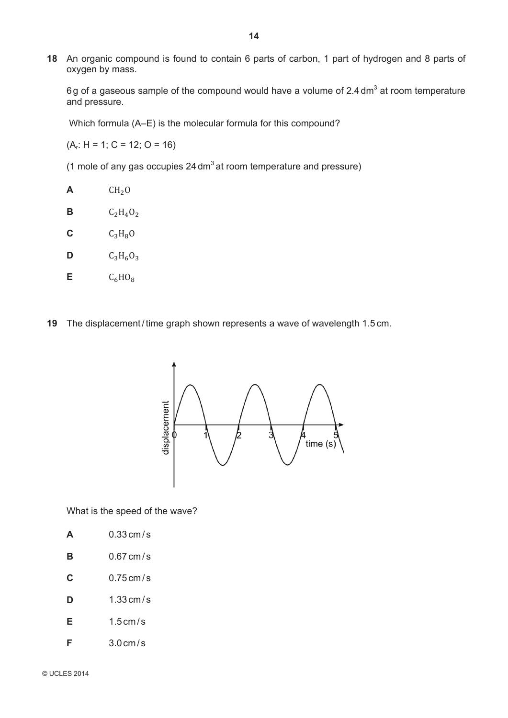**18** An organic compound is found to contain 6 parts of carbon, 1 part of hydrogen and 8 parts of oxygen by mass.

6g of a gaseous sample of the compound would have a volume of 2.4 dm<sup>3</sup> at room temperature and pressure.

Which formula (A–E) is the molecular formula for this compound?

 $(A_r: H = 1; C = 12; O = 16)$ 

(1 mole of any gas occupies  $24 \text{ dm}^3$  at room temperature and pressure)

 $CH<sub>2</sub>O$ **B**  $C_2H_4O_2$  $C_3H_8O$  $C_3H_6O_3$  $C_6HO_8$ 

**19** The displacement / time graph shown represents a wave of wavelength 1.5 cm.



What is the speed of the wave?

| A | $0.33$ cm / s |
|---|---------------|
|   |               |

- **B** 0.67 cm/s
- **C** 0.75 cm/s
- **D** 1.33 cm/s
- **E** 1.5 cm/s
- **F** 3.0 cm/s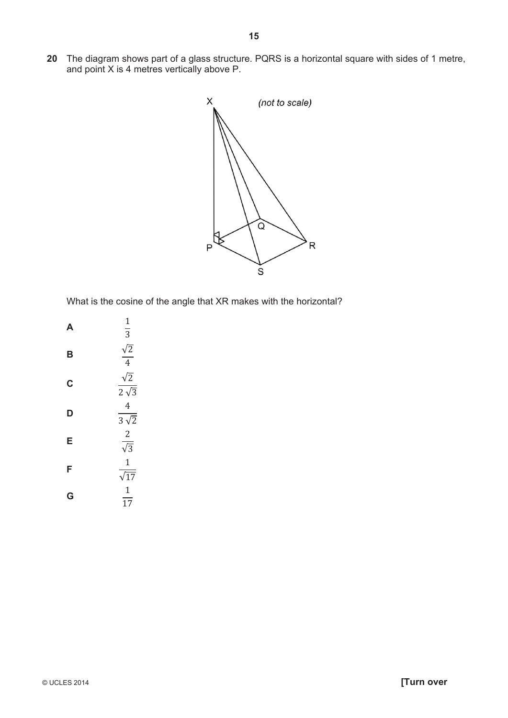**20** The diagram shows part of a glass structure. PQRS is a horizontal square with sides of 1 metre, and point X is 4 metres vertically above P.



What is the cosine of the angle that XR makes with the horizontal?

| A | 1<br>$\overline{3}$                    |
|---|----------------------------------------|
| B | $\frac{\sqrt{2}}{4}$                   |
| Ć | $\sqrt{2}$<br>$2\sqrt{3}$              |
| D | 4<br>$\overline{3\sqrt{2}}$            |
| E | $\overline{2}$<br>$\frac{1}{\sqrt{3}}$ |
| F | $\mathbf{1}$<br>$\sqrt{17}$            |
| G | $\mathbf{1}$<br>$\overline{17}$        |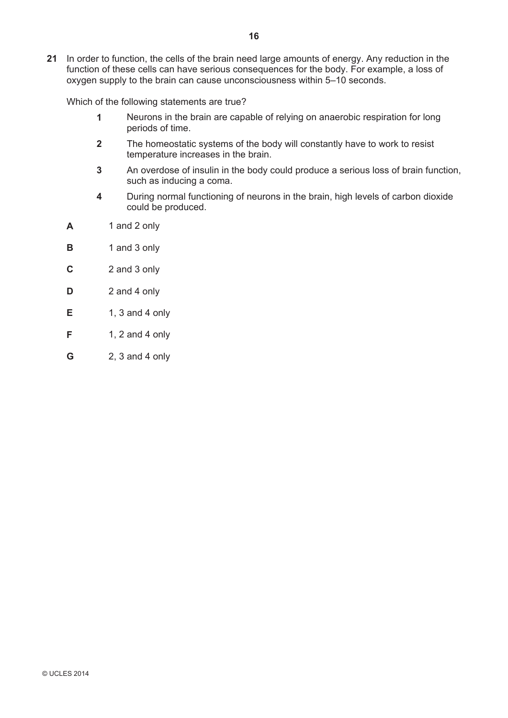**21** In order to function, the cells of the brain need large amounts of energy. Any reduction in the function of these cells can have serious consequences for the body. For example, a loss of oxygen supply to the brain can cause unconsciousness within 5–10 seconds.

Which of the following statements are true?

- **1** Neurons in the brain are capable of relying on anaerobic respiration for long periods of time.
- **2** The homeostatic systems of the body will constantly have to work to resist temperature increases in the brain.
- **3** An overdose of insulin in the body could produce a serious loss of brain function, such as inducing a coma.
- **4** During normal functioning of neurons in the brain, high levels of carbon dioxide could be produced.
- **A** 1 and 2 only
- **B** 1 and 3 only
- **C** 2 and 3 only
- **D** 2 and 4 only
- **E** 1, 3 and 4 only
- **F** 1, 2 and 4 only
- **G** 2, 3 and 4 only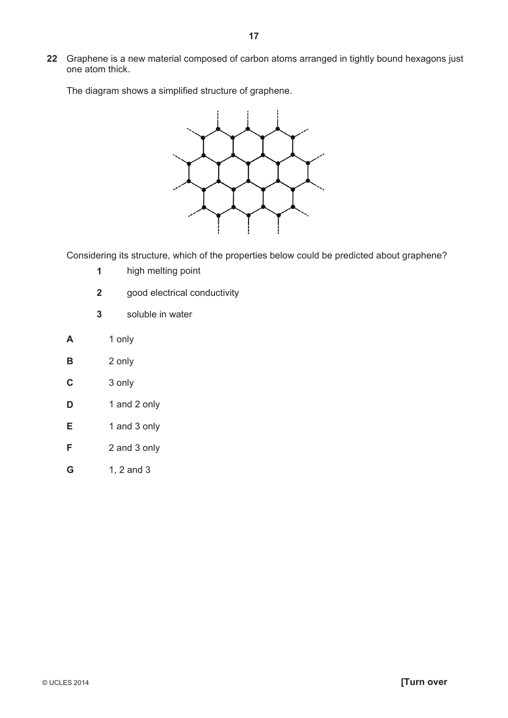**22** Graphene is a new material composed of carbon atoms arranged in tightly bound hexagons just one atom thick.

The diagram shows a simplified structure of graphene.



Considering its structure, which of the properties below could be predicted about graphene?

- **1** high melting point
- **2** good electrical conductivity
- **3** soluble in water
- **A** 1 only
- **B** 2 only
- **C** 3 only
- **D** 1 and 2 only
- **E** 1 and 3 only
- **F** 2 and 3 only
- **G** 1, 2 and 3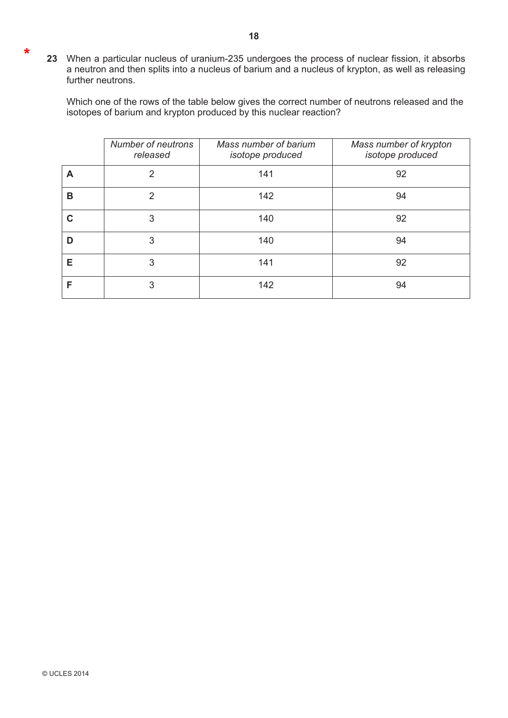**23** When a particular nucleus of uranium-235 undergoes the process of nuclear fission, it absorbs a neutron and then splits into a nucleus of barium and a nucleus of krypton, as well as releasing further neutrons.

Which one of the rows of the table below gives the correct number of neutrons released and the isotopes of barium and krypton produced by this nuclear reaction?

|   | Number of neutrons<br>released | Mass number of barium<br>isotope produced | Mass number of krypton<br>isotope produced |
|---|--------------------------------|-------------------------------------------|--------------------------------------------|
| A | 2                              | 141                                       | 92                                         |
| в | $\mathcal{P}$                  | 142                                       | 94                                         |
| C | 3                              | 140                                       | 92                                         |
| D | 3                              | 140                                       | 94                                         |
| Е | 3                              | 141                                       | 92                                         |
| F | 3                              | 142                                       | 94                                         |

\*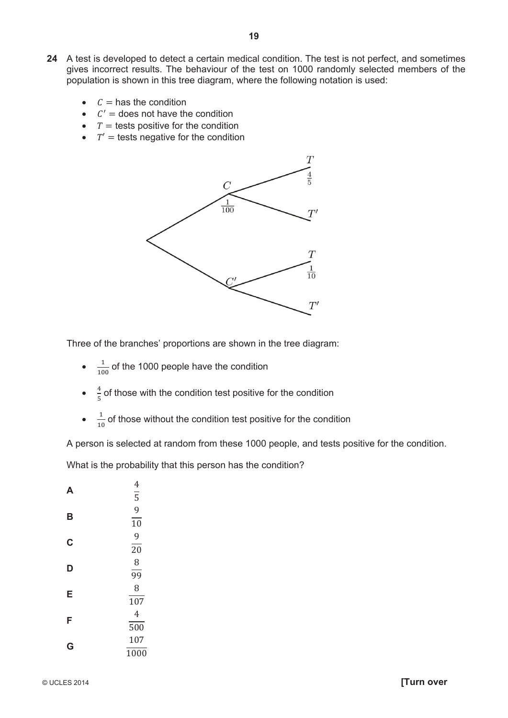- **24** A test is developed to detect a certain medical condition. The test is not perfect, and sometimes gives incorrect results. The behaviour of the test on 1000 randomly selected members of the population is shown in this tree diagram, where the following notation is used:
	- $c =$  has the condition
	- $\bullet$   $C'$  = does not have the condition
	- $\bullet$   $T =$  tests positive for the condition
	- $\bullet$   $T'$  = tests negative for the condition



Three of the branches' proportions are shown in the tree diagram:

- $\frac{1}{100}$  of the 1000 people have the condition
- $\frac{4}{5}$  of those with the condition test positive for the condition
- $\frac{1}{10}$  of those without the condition test positive for the condition

A person is selected at random from these 1000 people, and tests positive for the condition.

What is the probability that this person has the condition?

| А | 4<br>$\overline{5}$ |
|---|---------------------|
|   | 9                   |
| B | 10                  |
| C | 9                   |
|   | 20                  |
| D | 8                   |
|   | $\overline{99}$     |
| E | 8                   |
|   | 107                 |
| F | 4                   |
|   | 500                 |
| G | 107                 |
|   | 1000                |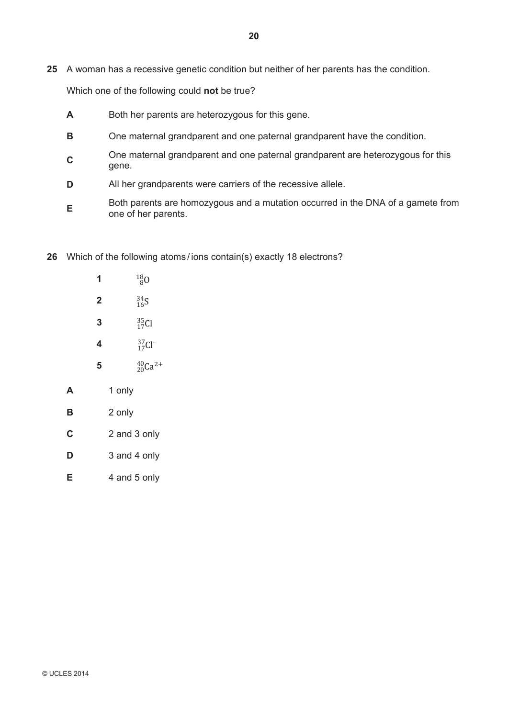**25** A woman has a recessive genetic condition but neither of her parents has the condition.

Which one of the following could **not** be true?

- **A** Both her parents are heterozygous for this gene.
- **B** One maternal grandparent and one paternal grandparent have the condition.
- **<sup>C</sup>** One maternal grandparent and one paternal grandparent are heterozygous for this gene.
- **D** All her grandparents were carriers of the recessive allele.
- **E** Both parents are homozygous and a mutation occurred in the DNA of a gamete from one of her parents.
- **26** Which of the following atoms / ions contain(s) exactly 18 electrons?
	- **1**  $^{18}_{80}$ **2**  $\frac{34}{16}S$ **3**  $\frac{35}{17}$ Cl **4**  $\frac{37}{17}$ Cl<sup>-</sup> **5**  ${}^{40}_{20}Ca^{2+}$ **A** 1 only **B** 2 only **C** 2 and 3 only **D** 3 and 4 only
	- **E** 4 and 5 only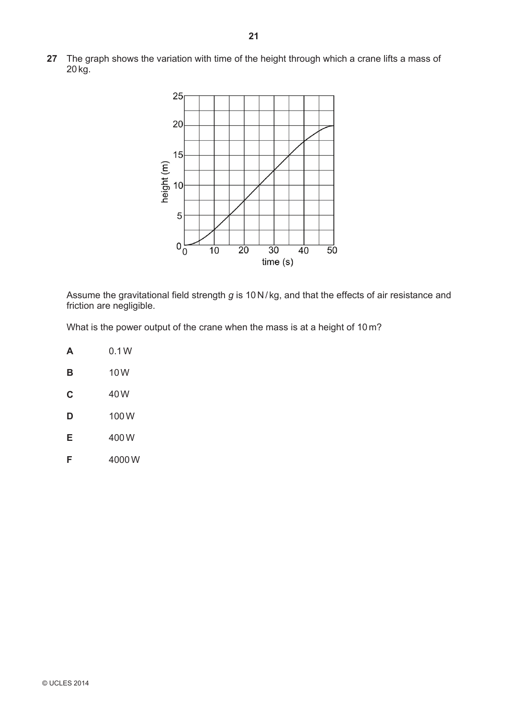**27** The graph shows the variation with time of the height through which a crane lifts a mass of 20 kg.



Assume the gravitational field strength *g* is 10 N /kg, and that the effects of air resistance and friction are negligible.

What is the power output of the crane when the mass is at a height of 10 m?

| Δ | 0.1W  |
|---|-------|
| в | 10W   |
| C | 40 W  |
| D | 100 W |
| Е | 400 W |
| F | 4000W |